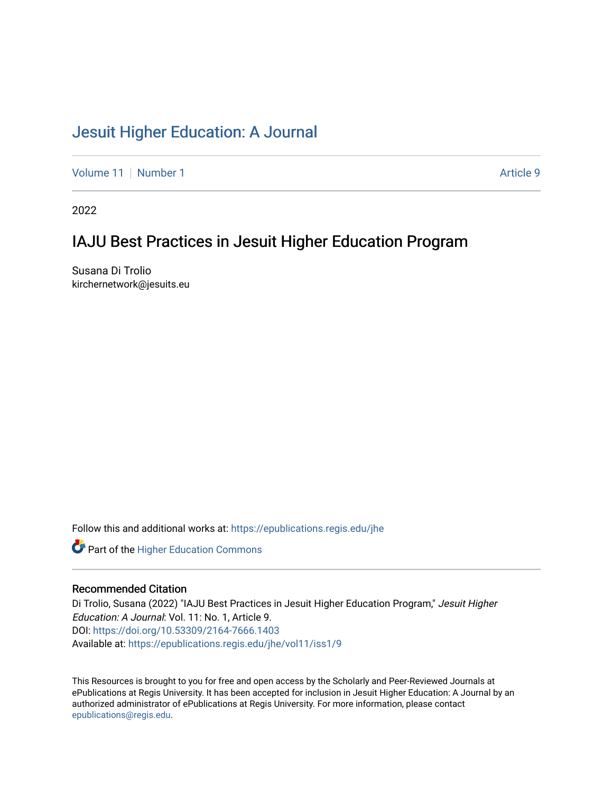# [Jesuit Higher Education: A Journal](https://epublications.regis.edu/jhe)

[Volume 11](https://epublications.regis.edu/jhe/vol11) | [Number 1](https://epublications.regis.edu/jhe/vol11/iss1) Article 9

2022

# IAJU Best Practices in Jesuit Higher Education Program

Susana Di Trolio kirchernetwork@jesuits.eu

Follow this and additional works at: [https://epublications.regis.edu/jhe](https://epublications.regis.edu/jhe?utm_source=epublications.regis.edu%2Fjhe%2Fvol11%2Fiss1%2F9&utm_medium=PDF&utm_campaign=PDFCoverPages) 



### Recommended Citation

Di Trolio, Susana (2022) "IAJU Best Practices in Jesuit Higher Education Program," Jesuit Higher Education: A Journal: Vol. 11: No. 1, Article 9. DOI:<https://doi.org/10.53309/2164-7666.1403> Available at: [https://epublications.regis.edu/jhe/vol11/iss1/9](https://epublications.regis.edu/jhe/vol11/iss1/9?utm_source=epublications.regis.edu%2Fjhe%2Fvol11%2Fiss1%2F9&utm_medium=PDF&utm_campaign=PDFCoverPages)

This Resources is brought to you for free and open access by the Scholarly and Peer-Reviewed Journals at ePublications at Regis University. It has been accepted for inclusion in Jesuit Higher Education: A Journal by an authorized administrator of ePublications at Regis University. For more information, please contact [epublications@regis.edu.](mailto:epublications@regis.edu)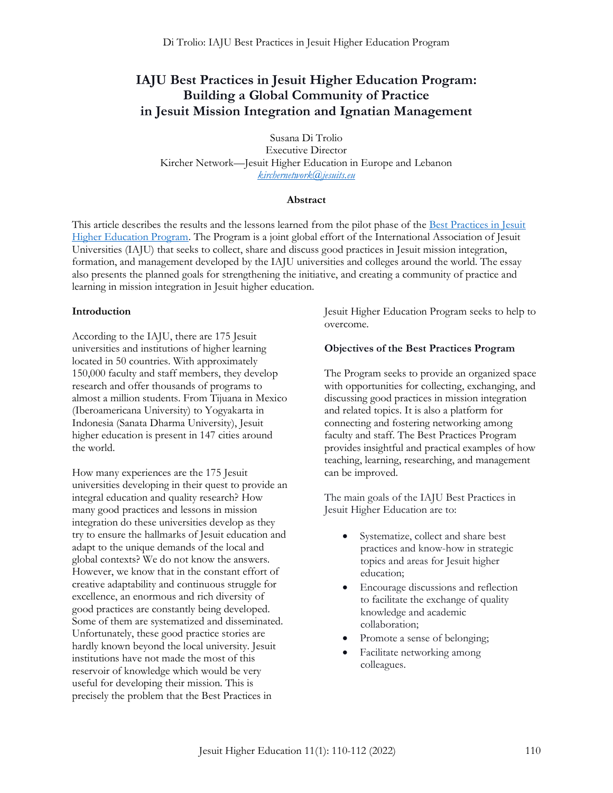# **IAJU Best Practices in Jesuit Higher Education Program: Building a Global Community of Practice in Jesuit Mission Integration and Ignatian Management**

Susana Di Trolio Executive Director Kircher Network—Jesuit Higher Education in Europe and Lebanon *[kirchernetwork@jesuits.eu](mailto:kirchernetwork@jesuits.eu)*

#### **Abstract**

This article describes the results and the lessons learned from the pilot phase of the Best Practices in Jesuit [Higher Education Program.](https://iaju.org/working-groups/best-practices-jesuit-higher-education) The Program is a joint global effort of the International Association of Jesuit Universities (IAJU) that seeks to collect, share and discuss good practices in Jesuit mission integration, formation, and management developed by the IAJU universities and colleges around the world. The essay also presents the planned goals for strengthening the initiative, and creating a community of practice and learning in mission integration in Jesuit higher education.

#### **Introduction**

According to the IAJU, there are 175 Jesuit universities and institutions of higher learning located in 50 countries. With approximately 150,000 faculty and staff members, they develop research and offer thousands of programs to almost a million students. From Tijuana in Mexico (Iberoamericana University) to Yogyakarta in Indonesia (Sanata Dharma University), Jesuit higher education is present in 147 cities around the world.

How many experiences are the 175 Jesuit universities developing in their quest to provide an integral education and quality research? How many good practices and lessons in mission integration do these universities develop as they try to ensure the hallmarks of Jesuit education and adapt to the unique demands of the local and global contexts? We do not know the answers. However, we know that in the constant effort of creative adaptability and continuous struggle for excellence, an enormous and rich diversity of good practices are constantly being developed. Some of them are systematized and disseminated. Unfortunately, these good practice stories are hardly known beyond the local university. Jesuit institutions have not made the most of this reservoir of knowledge which would be very useful for developing their mission. This is precisely the problem that the Best Practices in

Jesuit Higher Education Program seeks to help to overcome.

#### **Objectives of the Best Practices Program**

The Program seeks to provide an organized space with opportunities for collecting, exchanging, and discussing good practices in mission integration and related topics. It is also a platform for connecting and fostering networking among faculty and staff. The Best Practices Program provides insightful and practical examples of how teaching, learning, researching, and management can be improved.

The main goals of the IAJU Best Practices in Jesuit Higher Education are to:

- Systematize, collect and share best practices and know-how in strategic topics and areas for Jesuit higher education;
- Encourage discussions and reflection to facilitate the exchange of quality knowledge and academic collaboration;
- Promote a sense of belonging;
- Facilitate networking among colleagues.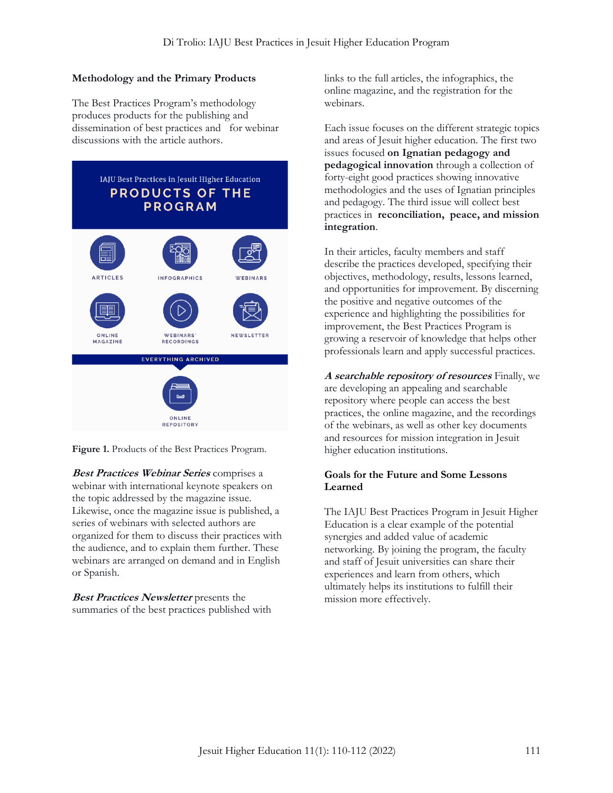## **Methodology and the Primary Products**

The Best Practices Program's methodology produces products for the publishing and dissemination of best practices and for webinar discussions with the article authors.



**Figure 1.** Products of the Best Practices Program.

**Best Practices Webinar Series** comprises a webinar with international keynote speakers on the topic addressed by the magazine issue. Likewise, once the magazine issue is published, a series of webinars with selected authors are organized for them to discuss their practices with the audience, and to explain them further. These webinars are arranged on demand and in English or Spanish.

**Best Practices Newsletter** presents the summaries of the best practices published with links to the full articles, the infographics, the online magazine, and the registration for the webinars.

Each issue focuses on the different strategic topics and areas of Jesuit higher education. The first two issues focused **on Ignatian pedagogy and pedagogical innovation** through a collection of forty-eight good practices showing innovative methodologies and the uses of Ignatian principles and pedagogy. The third issue will collect best practices in **reconciliation, peace, and mission integration**.

In their articles, faculty members and staff describe the practices developed, specifying their objectives, methodology, results, lessons learned, and opportunities for improvement. By discerning the positive and negative outcomes of the experience and highlighting the possibilities for improvement, the Best Practices Program is growing a reservoir of knowledge that helps other professionals learn and apply successful practices.

**A searchable repository of resources** Finally, we are developing an appealing and searchable repository where people can access the best practices, the online magazine, and the recordings of the webinars, as well as other key documents and resources for mission integration in Jesuit higher education institutions.

### **Goals for the Future and Some Lessons Learned**

The IAJU Best Practices Program in Jesuit Higher Education is a clear example of the potential synergies and added value of academic networking. By joining the program, the faculty and staff of Jesuit universities can share their experiences and learn from others, which ultimately helps its institutions to fulfill their mission more effectively.